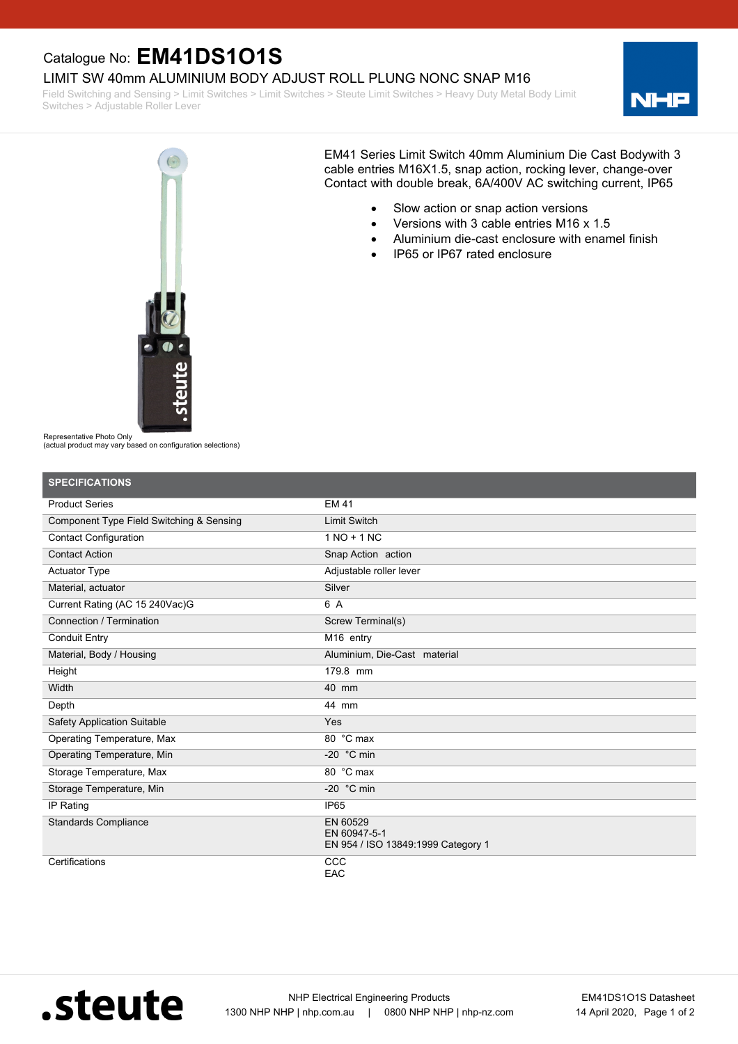## Catalogue No: **EM41DS1O1S**

LIMIT SW 40mm ALUMINIUM BODY ADJUST ROLL PLUNG NONC SNAP M16

Field Switching and Sensing > Limit Switches > Limit Switches > Steute Limit Switches > Heavy Duty Metal Body Limit Switches > Adjustable Roller Lever





EM41 Series Limit Switch 40mm Aluminium Die Cast Bodywith 3 cable entries M16X1.5, snap action, rocking lever, change-over Contact with double break, 6A/400V AC switching current, IP65

- · Slow action or snap action versions
- · Versions with 3 cable entries M16 x 1.5
- Aluminium die-cast enclosure with enamel finish
- · IP65 or IP67 rated enclosure

Representative Photo Only

(actual product may vary based on configuration selections)

| <b>SPECIFICATIONS</b>                    |                                                                |
|------------------------------------------|----------------------------------------------------------------|
| <b>Product Series</b>                    | <b>EM 41</b>                                                   |
| Component Type Field Switching & Sensing | <b>Limit Switch</b>                                            |
| <b>Contact Configuration</b>             | $1 NQ + 1 NC$                                                  |
| <b>Contact Action</b>                    | Snap Action action                                             |
| <b>Actuator Type</b>                     | Adjustable roller lever                                        |
| Material, actuator                       | Silver                                                         |
| Current Rating (AC 15 240Vac)G           | 6 A                                                            |
| Connection / Termination                 | Screw Terminal(s)                                              |
| <b>Conduit Entry</b>                     | M16 entry                                                      |
| Material, Body / Housing                 | Aluminium, Die-Cast material                                   |
| Height                                   | 179.8 mm                                                       |
| Width                                    | 40 mm                                                          |
| Depth                                    | 44 mm                                                          |
| <b>Safety Application Suitable</b>       | Yes                                                            |
| <b>Operating Temperature, Max</b>        | 80 °C max                                                      |
| Operating Temperature, Min               | -20 $\degree$ C min                                            |
| Storage Temperature, Max                 | 80 °C max                                                      |
| Storage Temperature, Min                 | -20 $\degree$ C min                                            |
| IP Rating                                | IP <sub>65</sub>                                               |
| <b>Standards Compliance</b>              | EN 60529<br>EN 60947-5-1<br>EN 954 / ISO 13849:1999 Category 1 |
| Certifications                           | CCC<br>EAC                                                     |